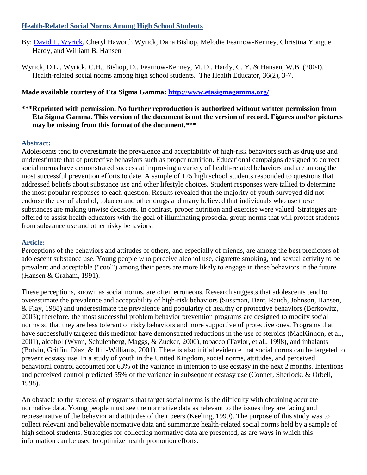# **Health-Related Social Norms Among High School Students**

- By: [David L. Wyrick,](http://libres.uncg.edu/ir/uncg/clist.aspx?id=1427) Cheryl Haworth Wyrick, Dana Bishop, Melodie Fearnow-Kenney, Christina Yongue Hardy, and William B. Hansen
- Wyrick, D.L., Wyrick, C.H., Bishop, D., Fearnow-Kenney, M. D., Hardy, C. Y. & Hansen, W.B. (2004). Health-related social norms among high school students. The Health Educator, 36(2), 3-7.

# **Made available courtesy of Eta Sigma Gamma:<http://www.etasigmagamma.org/>**

# **\*\*\*Reprinted with permission. No further reproduction is authorized without written permission from Eta Sigma Gamma. This version of the document is not the version of record. Figures and/or pictures may be missing from this format of the document.\*\*\***

# **Abstract:**

Adolescents tend to overestimate the prevalence and acceptability of high-risk behaviors such as drug use and underestimate that of protective behaviors such as proper nutrition. Educational campaigns designed to correct social norms have demonstrated success at improving a variety of health-related behaviors and are among the most successful prevention efforts to date. A sample of 125 high school students responded to questions that addressed beliefs about substance use and other lifestyle choices. Student responses were tallied to determine the most popular responses to each question. Results revealed that the majority of youth surveyed did not endorse the use of alcohol, tobacco and other drugs and many believed that individuals who use these substances are making unwise decisions. In contrast, proper nutrition and exercise were valued. Strategies are offered to assist health educators with the goal of illuminating prosocial group norms that will protect students from substance use and other risky behaviors.

# **Article:**

Perceptions of the behaviors and attitudes of others, and especially of friends, are among the best predictors of adolescent substance use. Young people who perceive alcohol use, cigarette smoking, and sexual activity to be prevalent and acceptable ("cool") among their peers are more likely to engage in these behaviors in the future (Hansen & Graham, 1991).

These perceptions, known as social norms, are often erroneous. Research suggests that adolescents tend to overestimate the prevalence and acceptability of high-risk behaviors (Sussman, Dent, Rauch, Johnson, Hansen, & Flay, 1988) and underestimate the prevalence and popularity of healthy or protective behaviors (Berkowitz, 2003); therefore, the most successful problem behavior prevention programs are designed to modify social norms so that they are less tolerant of risky behaviors and more supportive of protective ones. Programs that have successfully targeted this mediator have demonstrated reductions in the use of steroids (MacKinnon, et al., 2001), alcohol (Wynn, Schulenberg, Maggs, & Zucker, 2000), tobacco (Taylor, et al., 1998), and inhalants (Botvin, Griffin, Diaz, & Ifill-Williams, 2001). There is also initial evidence that social norms can be targeted to prevent ecstasy use. In a study of youth in the United Kingdom, social norms, attitudes, and perceived behavioral control accounted for 63% of the variance in intention to use ecstasy in the next 2 months. Intentions and perceived control predicted 55% of the variance in subsequent ecstasy use (Conner, Sherlock, & Orbell, 1998).

An obstacle to the success of programs that target social norms is the difficulty with obtaining accurate normative data. Young people must see the normative data as relevant to the issues they are facing and representative of the behavior and attitudes of their peers (Keeling, 1999). The purpose of this study was to collect relevant and believable normative data and summarize health-related social norms held by a sample of high school students. Strategies for collecting normative data are presented, as are ways in which this information can be used to optimize health promotion efforts.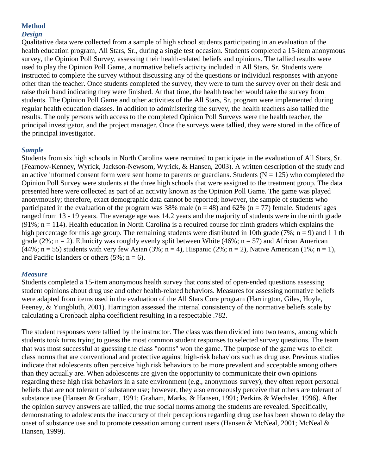# **Method**

## *Design*

Qualitative data were collected from a sample of high school students participating in an evaluation of the health education program, All Stars, Sr., during a single test occasion. Students completed a 15-item anonymous survey, the Opinion Poll Survey, assessing their health-related beliefs and opinions. The tallied results were used to play the Opinion Poll Game, a normative beliefs activity included in All Stars, Sr. Students were instructed to complete the survey without discussing any of the questions or individual responses with anyone other than the teacher. Once students completed the survey, they were to turn the survey over on their desk and raise their hand indicating they were finished. At that time, the health teacher would take the survey from students. The Opinion Poll Game and other activities of the All Stars, Sr. program were implemented during regular health education classes. In addition to administering the survey, the health teachers also tallied the results. The only persons with access to the completed Opinion Poll Surveys were the health teacher, the principal investigator, and the project manager. Once the surveys were tallied, they were stored in the office of the principal investigator.

## *Sample*

Students from six high schools in North Carolina were recruited to participate in the evaluation of All Stars, Sr. (Fearnow-Kenney, Wyrick, Jackson-Newsom, Wyrick, & Hansen, 2003). A written description of the study and an active informed consent form were sent home to parents or guardians. Students ( $N = 125$ ) who completed the Opinion Poll Survey were students at the three high schools that were assigned to the treatment group. The data presented here were collected as part of an activity known as the Opinion Poll Game. The game was played anonymously; therefore, exact demographic data cannot be reported; however, the sample of students who participated in the evaluation of the program was 38% male ( $n = 48$ ) and 62% ( $n = 77$ ) female. Students' ages ranged from 13 - 19 years. The average age was 14.2 years and the majority of students were in the ninth grade  $(91\%; n = 114)$ . Health education in North Carolina is a required course for ninth graders which explains the high percentage for this age group. The remaining students were distributed in 10th grade (7%;  $n = 9$ ) and 1 1 th grade (2%;  $n = 2$ ). Ethnicity was roughly evenly split between White (46%;  $n = 57$ ) and African American  $(44\%; n = 55)$  students with very few Asian  $(3\%; n = 4)$ , Hispanic  $(2\%; n = 2)$ , Native American  $(1\%; n = 1)$ , and Pacific Islanders or others  $(5\%; n = 6)$ .

#### *Measure*

Students completed a 15-item anonymous health survey that consisted of open-ended questions assessing student opinions about drug use and other health-related behaviors. Measures for assessing normative beliefs were adapted from items used in the evaluation of the All Stars Core program (Harrington, Giles, Hoyle, Feeney, & Yungbluth, 2001). Harrington assessed the internal consistency of the normative beliefs scale by calculating a Cronbach alpha coefficient resulting in a respectable .782.

The student responses were tallied by the instructor. The class was then divided into two teams, among which students took turns trying to guess the most common student responses to selected survey questions. The team that was most successful at guessing the class "norms" won the game. The purpose of the game was to elicit class norms that are conventional and protective against high-risk behaviors such as drug use. Previous studies indicate that adolescents often perceive high risk behaviors to be more prevalent and acceptable among others than they actually are. When adolescents are given the opportunity to communicate their own opinions regarding these high risk behaviors in a safe environment (e.g., anonymous survey), they often report personal beliefs that are not tolerant of substance use; however, they also erroneously perceive that others are tolerant of substance use (Hansen & Graham, 1991; Graham, Marks, & Hansen, 1991; Perkins & Wechsler, 1996). After the opinion survey answers are tallied, the true social norms among the students are revealed. Specifically, demonstrating to adolescents the inaccuracy of their perceptions regarding drug use has been shown to delay the onset of substance use and to promote cessation among current users (Hansen & McNeal, 2001; McNeal & Hansen, 1999).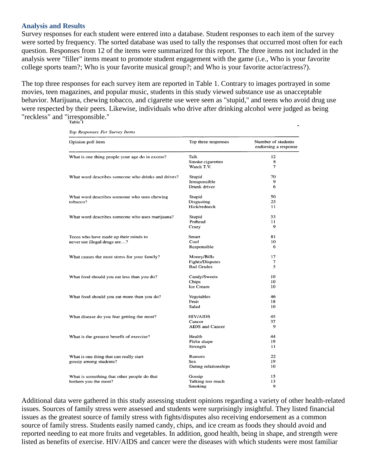#### **Analysis and Results**

Survey responses for each student were entered into a database. Student responses to each item of the survey were sorted by frequency. The sorted database was used to tally the responses that occurred most often for each question. Responses from 12 of the items were summarized for this report. The three items not included in the analysis were "filler" items meant to promote student engagement with the game (i.e., Who is your favorite college sports team?; Who is your favorite musical group?; and Who is your favorite actor/actress?).

The top three responses for each survey item are reported in Table 1. Contrary to images portrayed in some movies, teen magazines, and popular music, students in this study viewed substance use as unacceptable behavior. Marijuana, chewing tobacco, and cigarette use were seen as "stupid," and teens who avoid drug use were respected by their peers. Likewise, individuals who drive after drinking alcohol were judged as being "reckless" and "irresponsible."

| Opinion poll item                                                     | Top three responses    | Number of students<br>endorsing a response |
|-----------------------------------------------------------------------|------------------------|--------------------------------------------|
| What is one thing people your age do in excess?                       | Talk                   | 12                                         |
|                                                                       | Smoke cigarettes       | 8                                          |
|                                                                       | Watch T.V.             | $\overline{7}$                             |
| What word describes someone who drinks and drives?                    | Stupid                 | 70                                         |
|                                                                       | Irresponsible          | 9                                          |
|                                                                       | Drunk driver           | 6                                          |
| What word describes someone who uses chewing<br>tobacco?              | Stupid                 | 50                                         |
|                                                                       | <b>Disgusting</b>      | 25                                         |
|                                                                       | Hick/redneck           | 11                                         |
| What word describes someone who uses marijuana?                       | Stupid                 | 53                                         |
|                                                                       | Pothead                | 11                                         |
|                                                                       | Crazy                  | 9                                          |
| Teens who have made up their minds to<br>never use illegal drugs are? | Smart                  | 81                                         |
|                                                                       | Cool                   | 10                                         |
|                                                                       | Responsible            | 6                                          |
| What causes the most stress for your family?                          | Money/Bills            | 17                                         |
|                                                                       | Fights/Disputes        | 7                                          |
|                                                                       | <b>Bad Grades</b>      | 5                                          |
| What food should you eat less than you do?                            | Candy/Sweets           | 10                                         |
|                                                                       | Chips                  | 10                                         |
|                                                                       | Ice Cream              | 10                                         |
| What food should you eat more than you do?                            | Vegetables             | 46                                         |
|                                                                       | Fruit                  | 18                                         |
|                                                                       | Salad                  | 10                                         |
| What disease do you fear getting the most?                            | <b>HIV/AIDS</b>        | 45                                         |
|                                                                       | Cancer                 | 37                                         |
|                                                                       | <b>AIDS</b> and Cancer | 9                                          |
| What is the greatest benefit of exercise?                             | Health                 | 44                                         |
|                                                                       | Fit/in shape           | 19                                         |
|                                                                       | Strength               | 11                                         |
| What is one thing that can really start<br>gossip among students?     | Rumors                 | 22                                         |
|                                                                       | Sex                    | 19                                         |
|                                                                       | Dating relationships   | 10                                         |
| What is something that other people do that<br>bothers you the most?  | Gossip                 | 15                                         |
|                                                                       | Talking too much       | 13                                         |
|                                                                       | Smoking                | 9                                          |

Top Responses For Survey Items

Additional data were gathered in this study assessing student opinions regarding a variety of other health-related issues. Sources of family stress were assessed and students were surprisingly insightful. They listed financial issues as the greatest source of family stress with fights/disputes also receiving endorsement as a common source of family stress. Students easily named candy, chips, and ice cream as foods they should avoid and reported needing to eat more fruits and vegetables. In addition, good health, being in shape, and strength were listed as benefits of exercise. HIV/AIDS and cancer were the diseases with which students were most familiar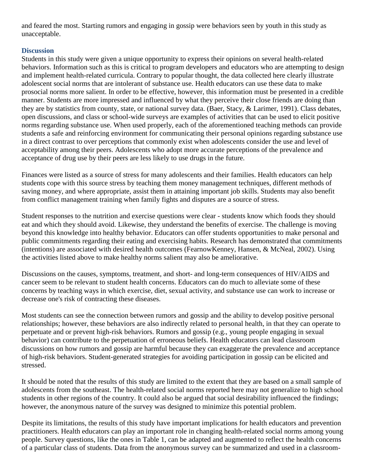and feared the most. Starting rumors and engaging in gossip were behaviors seen by youth in this study as unacceptable.

# **Discussion**

Students in this study were given a unique opportunity to express their opinions on several health-related behaviors. Information such as this is critical to program developers and educators who are attempting to design and implement health-related curricula. Contrary to popular thought, the data collected here clearly illustrate adolescent social norms that are intolerant of substance use. Health educators can use these data to make prosocial norms more salient. In order to be effective, however, this information must be presented in a credible manner. Students are more impressed and influenced by what they perceive their close friends are doing than they are by statistics from county, state, or national survey data. (Baer, Stacy, & Larimer, 1991). Class debates, open discussions, and class or school-wide surveys are examples of activities that can be used to elicit positive norms regarding substance use. When used properly, each of the aforementioned teaching methods can provide students a safe and reinforcing environment for communicating their personal opinions regarding substance use in a direct contrast to over perceptions that commonly exist when adolescents consider the use and level of acceptability among their peers. Adolescents who adopt more accurate perceptions of the prevalence and acceptance of drug use by their peers are less likely to use drugs in the future.

Finances were listed as a source of stress for many adolescents and their families. Health educators can help students cope with this source stress by teaching them money management techniques, different methods of saving money, and where appropriate, assist them in attaining important job skills. Students may also benefit from conflict management training when family fights and disputes are a source of stress.

Student responses to the nutrition and exercise questions were clear - students know which foods they should eat and which they should avoid. Likewise, they understand the benefits of exercise. The challenge is moving beyond this knowledge into healthy behavior. Educators can offer students opportunities to make personal and public commitments regarding their eating and exercising habits. Research has demonstrated that commitments (intentions) are associated with desired health outcomes (FearnowKenney, Hansen, & McNeal, 2002). Using the activities listed above to make healthy norms salient may also be ameliorative.

Discussions on the causes, symptoms, treatment, and short- and long-term consequences of HIV/AIDS and cancer seem to be relevant to student health concerns. Educators can do much to alleviate some of these concerns by teaching ways in which exercise, diet, sexual activity, and substance use can work to increase or decrease one's risk of contracting these diseases.

Most students can see the connection between rumors and gossip and the ability to develop positive personal relationships; however, these behaviors are also indirectly related to personal health, in that they can operate to perpetuate and or prevent high-risk behaviors. Rumors and gossip (e.g., young people engaging in sexual behavior) can contribute to the perpetuation of erroneous beliefs. Health educators can lead classroom discussions on how rumors and gossip are harmful because they can exaggerate the prevalence and acceptance of high-risk behaviors. Student-generated strategies for avoiding participation in gossip can be elicited and stressed.

It should be noted that the results of this study are limited to the extent that they are based on a small sample of adolescents from the southeast. The health-related social norms reported here may not generalize to high school students in other regions of the country. It could also be argued that social desirability influenced the findings; however, the anonymous nature of the survey was designed to minimize this potential problem.

Despite its limitations, the results of this study have important implications for health educators and prevention practitioners. Health educators can play an important role in changing health-related social norms among young people. Survey questions, like the ones in Table 1, can be adapted and augmented to reflect the health concerns of a particular class of students. Data from the anonymous survey can be summarized and used in a classroom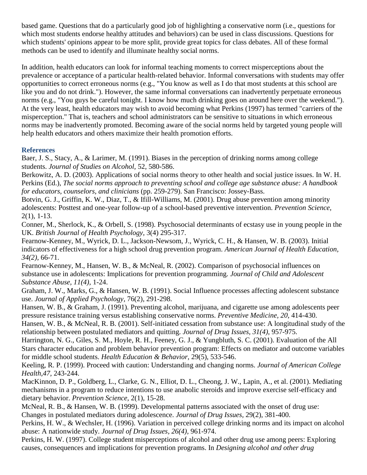based game. Questions that do a particularly good job of highlighting a conservative norm (i.e., questions for which most students endorse healthy attitudes and behaviors) can be used in class discussions. Questions for which students' opinions appear to be more split, provide great topics for class debates. All of these formal methods can be used to identify and illuminate healthy social norms.

In addition, health educators can look for informal teaching moments to correct misperceptions about the prevalence or acceptance of a particular health-related behavior. Informal conversations with students may offer opportunities to correct erroneous norms (e.g., "You know as well as I do that most students at this school are like you and do not drink."). However, the same informal conversations can inadvertently perpetuate erroneous norms (e.g., "You guys be careful tonight. I know how much drinking goes on around here over the weekend."). At the very least, health educators may wish to avoid becoming what Perkins (1997) has termed "carriers of the misperception." That is, teachers and school administrators can be sensitive to situations in which erroneous norms may be inadvertently promoted. Becoming aware of the social norms held by targeted young people will help health educators and others maximize their health promotion efforts.

# **References**

Baer, J. S., Stacy, A., & Larimer, M. (1991). Biases in the perception of drinking norms among college students. *Journal of Studies on Alcohol,* 52, 580-586.

Berkowitz, A. D. (2003). Applications of social norms theory to other health and social justice issues. In W. H. Perkins (Ed.), *The social norms approach to preventing school and college age substance abuse: A handbook for educators, counselors, and clinicians* (pp. 259-279). San Francisco: Jossey-Bass.

Botvin, G. J., Griffin, K. W., Diaz, T., & Ifill-Williams, M. (2001). Drug abuse prevention among minority adolescents: Posttest and one-year follow-up of a school-based preventive intervention. *Prevention Science,*  2(1), 1-13.

Conner, M., Sherlock, K., & Orbell, S. (1998). Psychosocial determinants of ecstasy use in young people in the UK. *British Journal of Health Psychology,* 3(4) 295-317.

Fearnow-Kenney, M., Wyrick, D. L., Jackson-Newsom, J., Wyrick, C. H., & Hansen, W. B. (2003). Initial indicators of effectiveness for a high school drug prevention program. *American Journal of Health Education, 34(2),* 66-71.

Fearnow-Kenney, M., Hansen, W. B., & McNeal, R. (2002). Comparison of psychosocial influences on substance use in adolescents: Implications for prevention programming. *Journal of Child and Adolescent Substance Abuse, 11(4),* 1-24.

Graham, J. W., Marks, G., & Hansen, W. B. (1991). Social Influence processes affecting adolescent substance use. *Journal of Applied Psychology,* 76(2), 291-298.

Hansen, W. B., & Graham, J. (1991). Preventing alcohol, marijuana, and cigarette use among adolescents peer pressure resistance training versus establishing conservative norms. *Preventive Medicine, 20,* 414-430.

Hansen, W. B., & McNeal, R. B. (2001). Self-initiated cessation from substance use: A longitudinal study of the relationship between postulated mediators and quitting. *Journal of Drug Issues, 31(4),* 957-975.

Harrington, N. G., Giles, S. M., Hoyle, R. H., Feeney, G. J., & Yungbluth, S. C. (2001). Evaluation of the All Stars character education and problem behavior prevention program: Effects on mediator and outcome variables for middle school students. *Health Education & Behavior,* 29(5), 533-546.

Keeling, R. P. (1999). Proceed with caution: Understanding and changing norms. *Journal of American College Health,47,* 243-244.

MacKinnon, D. P., Goldberg, L., Clarke, G. N., Elliot, D. L., Cheong, J. W., Lapin, A., et al. (2001). Mediating mechanisms in a program to reduce intentions to use anabolic steroids and improve exercise self-efficacy and dietary behavior. *Prevention Science,* 2(1), 15-28.

McNeal, R. B., & Hansen, W. B. (1999). Developmental patterns associated with the onset of drug use: Changes in postulated mediators during adolescence. *Journal of Drug Issues,* 29(2), 381-400.

Perkins, H. W., & Wechsler, H. (1996). Variation in perceived college drinking norms and its impact on alcohol abuse: A nationwide study. *Journal of Drug Issues, 26(4),* 961-974.

Perkins, H. W. (1997). College student misperceptions of alcohol and other drug use among peers: Exploring causes, consequences and implications for prevention programs. In *Designing alcohol and other drug*